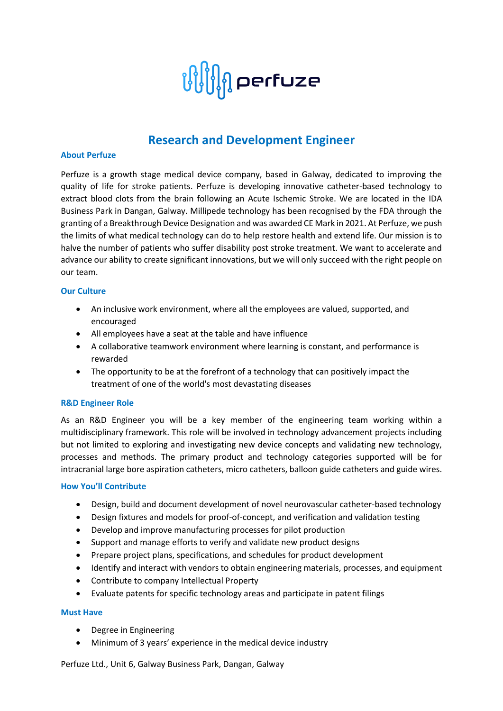

# **Research and Development Engineer**

## **About Perfuze**

Perfuze is a growth stage medical device company, based in Galway, dedicated to improving the quality of life for stroke patients. Perfuze is developing innovative catheter-based technology to extract blood clots from the brain following an Acute Ischemic Stroke. We are located in the IDA Business Park in Dangan, Galway. Millipede technology has been recognised by the FDA through the granting of a Breakthrough Device Designation and was awarded CE Mark in 2021. At Perfuze, we push the limits of what medical technology can do to help restore health and extend life. Our mission is to halve the number of patients who suffer disability post stroke treatment. We want to accelerate and advance our ability to create significant innovations, but we will only succeed with the right people on our team.

#### **Our Culture**

- An inclusive work environment, where all the employees are valued, supported, and encouraged
- All employees have a seat at the table and have influence
- A collaborative teamwork environment where learning is constant, and performance is rewarded
- The opportunity to be at the forefront of a technology that can positively impact the treatment of one of the world's most devastating diseases

## **R&D Engineer Role**

As an R&D Engineer you will be a key member of the engineering team working within a multidisciplinary framework. This role will be involved in technology advancement projects including but not limited to exploring and investigating new device concepts and validating new technology, processes and methods. The primary product and technology categories supported will be for intracranial large bore aspiration catheters, micro catheters, balloon guide catheters and guide wires.

#### **How You'll Contribute**

- Design, build and document development of novel neurovascular catheter-based technology
- Design fixtures and models for proof-of-concept, and verification and validation testing
- Develop and improve manufacturing processes for pilot production
- Support and manage efforts to verify and validate new product designs
- Prepare project plans, specifications, and schedules for product development
- Identify and interact with vendors to obtain engineering materials, processes, and equipment
- Contribute to company Intellectual Property
- Evaluate patents for specific technology areas and participate in patent filings

## **Must Have**

- Degree in Engineering
- Minimum of 3 years' experience in the medical device industry

Perfuze Ltd., Unit 6, Galway Business Park, Dangan, Galway